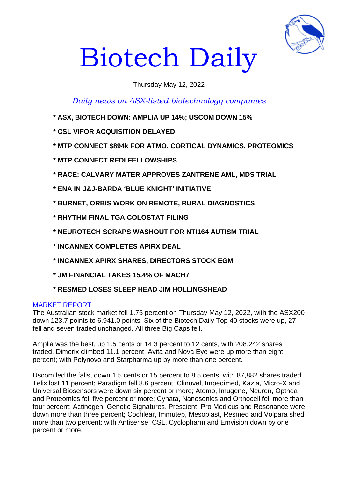

# Biotech Daily

## Thursday May 12, 2022

*Daily news on ASX-listed biotechnology companies*

- **\* ASX, BIOTECH DOWN: AMPLIA UP 14%; USCOM DOWN 15%**
- **\* CSL VIFOR ACQUISITION DELAYED**
- **\* MTP CONNECT \$894k FOR ATMO, CORTICAL DYNAMICS, PROTEOMICS**
- **\* MTP CONNECT REDI FELLOWSHIPS**
- **\* RACE: CALVARY MATER APPROVES ZANTRENE AML, MDS TRIAL**
- **\* ENA IN J&J-BARDA 'BLUE KNIGHT' INITIATIVE**
- **\* BURNET, ORBIS WORK ON REMOTE, RURAL DIAGNOSTICS**
- **\* RHYTHM FINAL TGA COLOSTAT FILING**
- **\* NEUROTECH SCRAPS WASHOUT FOR NTI164 AUTISM TRIAL**
- **\* INCANNEX COMPLETES APIRX DEAL**
- **\* INCANNEX APIRX SHARES, DIRECTORS STOCK EGM**
- **\* JM FINANCIAL TAKES 15.4% OF MACH7**
- **\* RESMED LOSES SLEEP HEAD JIM HOLLINGSHEAD**

## MARKET REPORT

The Australian stock market fell 1.75 percent on Thursday May 12, 2022, with the ASX200 down 123.7 points to 6,941.0 points. Six of the Biotech Daily Top 40 stocks were up, 27 fell and seven traded unchanged. All three Big Caps fell.

Amplia was the best, up 1.5 cents or 14.3 percent to 12 cents, with 208,242 shares traded. Dimerix climbed 11.1 percent; Avita and Nova Eye were up more than eight percent; with Polynovo and Starpharma up by more than one percent.

Uscom led the falls, down 1.5 cents or 15 percent to 8.5 cents, with 87,882 shares traded. Telix lost 11 percent; Paradigm fell 8.6 percent; Clinuvel, Impedimed, Kazia, Micro-X and Universal Biosensors were down six percent or more; Atomo, Imugene, Neuren, Opthea and Proteomics fell five percent or more; Cynata, Nanosonics and Orthocell fell more than four percent; Actinogen, Genetic Signatures, Prescient, Pro Medicus and Resonance were down more than three percent; Cochlear, Immutep, Mesoblast, Resmed and Volpara shed more than two percent; with Antisense, CSL, Cyclopharm and Emvision down by one percent or more.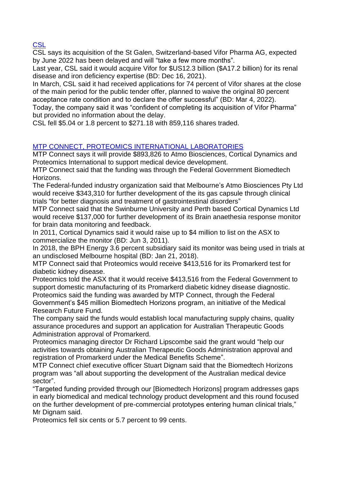**CSL** 

CSL says its acquisition of the St Galen, Switzerland-based Vifor Pharma AG, expected by June 2022 has been delayed and will "take a few more months".

Last year, CSL said it would acquire Vifor for \$US12.3 billion (\$A17.2 billion) for its renal disease and iron deficiency expertise (BD: Dec 16, 2021).

In March, CSL said it had received applications for 74 percent of Vifor shares at the close of the main period for the public tender offer, planned to waive the original 80 percent acceptance rate condition and to declare the offer successful" (BD: Mar 4, 2022).

Today, the company said it was "confident of completing its acquisition of Vifor Pharma" but provided no information about the delay.

CSL fell \$5.04 or 1.8 percent to \$271.18 with 859,116 shares traded.

# MTP CONNECT, PROTEOMICS INTERNATIONAL LABORATORIES

MTP Connect says it will provide \$893,826 to Atmo Biosciences, Cortical Dynamics and Proteomics International to support medical device development.

MTP Connect said that the funding was through the Federal Government Biomedtech Horizons.

The Federal-funded industry organization said that Melbourne's Atmo Biosciences Pty Ltd would receive \$343,310 for further development of the its gas capsule through clinical trials "for better diagnosis and treatment of gastrointestinal disorders"

MTP Connect said that the Swinburne University and Perth based Cortical Dynamics Ltd would receive \$137,000 for further development of its Brain anaethesia response monitor for brain data monitoring and feedback.

In 2011, Cortical Dynamics said it would raise up to \$4 million to list on the ASX to commercialize the monitor (BD: Jun 3, 2011).

In 2018, the BPH Energy 3.6 percent subsidiary said its monitor was being used in trials at an undisclosed Melbourne hospital (BD: Jan 21, 2018).

MTP Connect said that Proteomics would receive \$413,516 for its Promarkerd test for diabetic kidney disease.

Proteomics told the ASX that it would receive \$413,516 from the Federal Government to support domestic manufacturing of its Promarkerd diabetic kidney disease diagnostic. Proteomics said the funding was awarded by MTP Connect, through the Federal Government's \$45 million Biomedtech Horizons program, an initiative of the Medical Research Future Fund.

The company said the funds would establish local manufacturing supply chains, quality assurance procedures and support an application for Australian Therapeutic Goods Administration approval of Promarkerd.

Proteomics managing director Dr Richard Lipscombe said the grant would "help our activities towards obtaining Australian Therapeutic Goods Administration approval and registration of Promarkerd under the Medical Benefits Scheme".

MTP Connect chief executive officer Stuart Dignam said that the Biomedtech Horizons program was "all about supporting the development of the Australian medical device sector".

"Targeted funding provided through our [Biomedtech Horizons] program addresses gaps in early biomedical and medical technology product development and this round focused on the further development of pre-commercial prototypes entering human clinical trials," Mr Dignam said.

Proteomics fell six cents or 5.7 percent to 99 cents.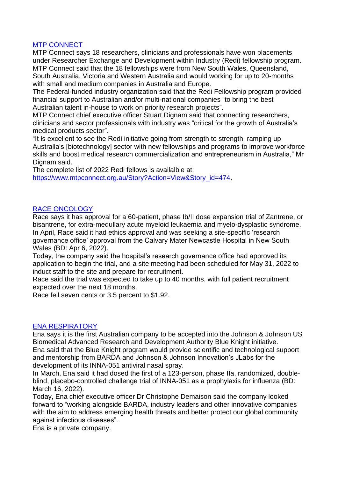## MTP CONNECT

MTP Connect says 18 researchers, clinicians and professionals have won placements under Researcher Exchange and Development within Industry (Redi) fellowship program. MTP Connect said that the 18 fellowships were from New South Wales, Queensland, South Australia, Victoria and Western Australia and would working for up to 20-months with small and medium companies in Australia and Europe.

The Federal-funded industry organization said that the Redi Fellowship program provided financial support to Australian and/or multi-national companies "to bring the best Australian talent in-house to work on priority research projects".

MTP Connect chief executive officer Stuart Dignam said that connecting researchers, clinicians and sector professionals with industry was "critical for the growth of Australia's medical products sector".

"It is excellent to see the Redi initiative going from strength to strength, ramping up Australia's [biotechnology] sector with new fellowships and programs to improve workforce skills and boost medical research commercialization and entrepreneurism in Australia," Mr Dignam said.

The complete list of 2022 Redi fellows is availalble at:

[https://www.mtpconnect.org.au/Story?Action=View&Story\\_id=474.](https://www.mtpconnect.org.au/Story?Action=View&Story_id=474)

## RACE ONCOLOGY

Race says it has approval for a 60-patient, phase Ib/II dose expansion trial of Zantrene, or bisantrene, for extra-medullary acute myeloid leukaemia and myelo-dysplastic syndrome. In April, Race said it had ethics approval and was seeking a site-specific 'research governance office' approval from the Calvary Mater Newcastle Hospital in New South Wales (BD: Apr 6, 2022).

Today, the company said the hospital's research governance office had approved its application to begin the trial, and a site meeting had been scheduled for May 31, 2022 to induct staff to the site and prepare for recruitment.

Race said the trial was expected to take up to 40 months, with full patient recruitment expected over the next 18 months.

Race fell seven cents or 3.5 percent to \$1.92.

## ENA RESPIRATORY

Ena says it is the first Australian company to be accepted into the Johnson & Johnson US Biomedical Advanced Research and Development Authority Blue Knight initiative. Ena said that the Blue Knight program would provide scientific and technological support and mentorship from BARDA and Johnson & Johnson Innovation's JLabs for the development of its INNA-051 antiviral nasal spray.

In March, Ena said it had dosed the first of a 123-person, phase IIa, randomized, doubleblind, placebo-controlled challenge trial of INNA-051 as a prophylaxis for influenza (BD: March 16, 2022).

Today, Ena chief executive officer Dr Christophe Demaison said the company looked forward to "working alongside BARDA, industry leaders and other innovative companies with the aim to address emerging health threats and better protect our global community against infectious diseases".

Ena is a private company.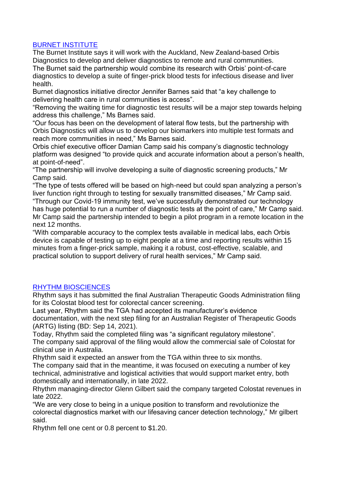## BURNET INSTITUTE

The Burnet Institute says it will work with the Auckland, New Zealand-based Orbis Diagnostics to develop and deliver diagnostics to remote and rural communities. The Burnet said the partnership would combine its research with Orbis' point-of-care

diagnostics to develop a suite of finger-prick blood tests for infectious disease and liver health.

Burnet diagnostics initiative director Jennifer Barnes said that "a key challenge to delivering health care in rural communities is access".

"Removing the waiting time for diagnostic test results will be a major step towards helping address this challenge," Ms Barnes said.

"Our focus has been on the development of lateral flow tests, but the partnership with Orbis Diagnostics will allow us to develop our biomarkers into multiple test formats and reach more communities in need," Ms Barnes said.

Orbis chief executive officer Damian Camp said his company's diagnostic technology platform was designed "to provide quick and accurate information about a person's health, at point-of-need".

"The partnership will involve developing a suite of diagnostic screening products," Mr Camp said.

"The type of tests offered will be based on high-need but could span analyzing a person's liver function right through to testing for sexually transmitted diseases," Mr Camp said.

"Through our Covid-19 immunity test, we've successfully demonstrated our technology has huge potential to run a number of diagnostic tests at the point of care," Mr Camp said. Mr Camp said the partnership intended to begin a pilot program in a remote location in the next 12 months.

"With comparable accuracy to the complex tests available in medical labs, each Orbis device is capable of testing up to eight people at a time and reporting results within 15 minutes from a finger-prick sample, making it a robust, cost-effective, scalable, and practical solution to support delivery of rural health services," Mr Camp said.

## RHYTHM BIOSCIENCES

Rhythm says it has submitted the final Australian Therapeutic Goods Administration filing for its Colostat blood test for colorectal cancer screening.

Last year, Rhythm said the TGA had accepted its manufacturer's evidence documentation, with the next step filing for an Australian Register of Therapeutic Goods (ARTG) listing (BD: Sep 14, 2021).

Today, Rhythm said the completed filing was "a significant regulatory milestone".

The company said approval of the filing would allow the commercial sale of Colostat for clinical use in Australia.

Rhythm said it expected an answer from the TGA within three to six months.

The company said that in the meantime, it was focused on executing a number of key technical, administrative and logistical activities that would support market entry, both domestically and internationally, in late 2022.

Rhythm managing-director Glenn Gilbert said the company targeted Colostat revenues in late 2022.

"We are very close to being in a unique position to transform and revolutionize the colorectal diagnostics market with our lifesaving cancer detection technology," Mr gilbert said.

Rhythm fell one cent or 0.8 percent to \$1.20.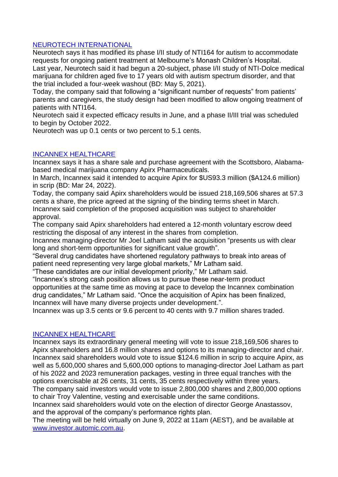## NEUROTECH INTERNATIONAL

Neurotech says it has modified its phase I/II study of NTI164 for autism to accommodate requests for ongoing patient treatment at Melbourne's Monash Children's Hospital. Last year, Neurotech said it had begun a 20-subject, phase I/II study of NTI-Dolce medical marijuana for children aged five to 17 years old with autism spectrum disorder, and that the trial included a four-week washout (BD: May 5, 2021).

Today, the company said that following a "significant number of requests" from patients' parents and caregivers, the study design had been modified to allow ongoing treatment of patients with NTI164.

Neurotech said it expected efficacy results in June, and a phase II/III trial was scheduled to begin by October 2022.

Neurotech was up 0.1 cents or two percent to 5.1 cents.

## INCANNEX HEALTHCARE

Incannex says it has a share sale and purchase agreement with the Scottsboro, Alabamabased medical marijuana company Apirx Pharmaceuticals.

In March, Incannex said it intended to acquire Apirx for \$US93.3 million (\$A124.6 million) in scrip (BD: Mar 24, 2022).

Today, the company said Apirx shareholders would be issued 218,169,506 shares at 57.3 cents a share, the price agreed at the signing of the binding terms sheet in March. Incannex said completion of the proposed acquisition was subject to shareholder approval.

The company said Apirx shareholders had entered a 12-month voluntary escrow deed restricting the disposal of any interest in the shares from completion.

Incannex managing-director Mr Joel Latham said the acquisition "presents us with clear long and short-term opportunities for significant value growth".

"Several drug candidates have shortened regulatory pathways to break into areas of patient need representing very large global markets," Mr Latham said.

"These candidates are our initial development priority," Mr Latham said.

"Incannex's strong cash position allows us to pursue these near-term product opportunities at the same time as moving at pace to develop the Incannex combination drug candidates," Mr Latham said. "Once the acquisition of Apirx has been finalized, Incannex will have many diverse projects under development.".

Incannex was up 3.5 cents or 9.6 percent to 40 cents with 9.7 million shares traded.

## INCANNEX HEALTHCARE

Incannex says its extraordinary general meeting will vote to issue 218,169,506 shares to Apirx shareholders and 16.8 million shares and options to its managing-director and chair. Incannex said shareholders would vote to issue \$124.6 million in scrip to acquire Apirx, as well as 5,600,000 shares and 5,600,000 options to managing-director Joel Latham as part of his 2022 and 2023 remuneration packages, vesting in three equal tranches with the options exercisable at 26 cents, 31 cents, 35 cents respectively within three years.

The company said investors would vote to issue 2,800,000 shares and 2,800,000 options to chair Troy Valentine, vesting and exercisable under the same conditions.

Incannex said shareholders would vote on the election of director George Anastassov, and the approval of the company's performance rights plan.

The meeting will be held virtually on June 9, 2022 at 11am (AEST), and be available at [www.investor.automic.com.au.](http://www.investor.automic.com.au/)